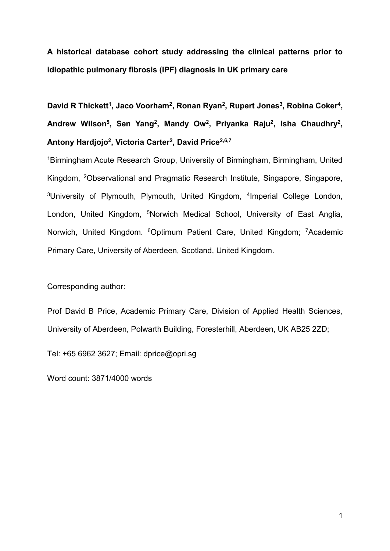**A historical database cohort study addressing the clinical patterns prior to idiopathic pulmonary fibrosis (IPF) diagnosis in UK primary care**

David R Thickett<sup>1</sup>, Jaco Voorham<sup>2</sup>, Ronan Ryan<sup>2</sup>, Rupert Jones<sup>3</sup>, Robina Coker<sup>4</sup>, Andrew Wilson<sup>5</sup>, Sen Yang<sup>2</sup>, Mandy Ow<sup>2</sup>, Priyanka Raju<sup>2</sup>, Isha Chaudhry<sup>2</sup>, **Antony Hardjojo<sup>2</sup> , Victoria Carter<sup>2</sup> , David Price2,6,7**

<sup>1</sup>Birmingham Acute Research Group, University of Birmingham, Birmingham, United Kingdom, <sup>2</sup>Observational and Pragmatic Research Institute, Singapore, Singapore, <sup>3</sup>University of Plymouth, Plymouth, United Kingdom, <sup>4</sup>Imperial College London, London, United Kingdom, <sup>5</sup>Norwich Medical School, University of East Anglia, Norwich, United Kingdom. <sup>6</sup>Optimum Patient Care, United Kingdom; <sup>7</sup>Academic Primary Care, University of Aberdeen, Scotland, United Kingdom.

Corresponding author:

Prof David B Price, Academic Primary Care, Division of Applied Health Sciences, University of Aberdeen, Polwarth Building, Foresterhill, Aberdeen, UK AB25 2ZD;

Tel: +65 6962 3627; Email: dprice@opri.sg

Word count: 3871/4000 words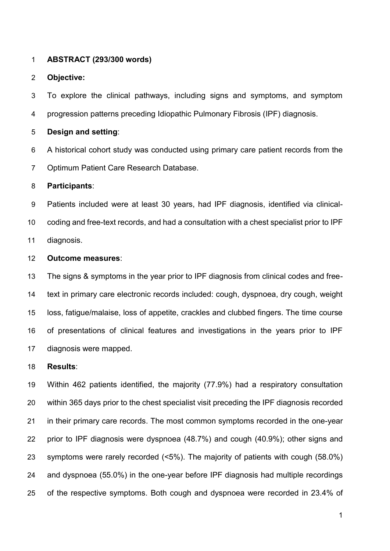#### **ABSTRACT (293/300 words)**

#### **Objective:**

 To explore the clinical pathways, including signs and symptoms, and symptom progression patterns preceding Idiopathic Pulmonary Fibrosis (IPF) diagnosis.

#### **Design and setting**:

 A historical cohort study was conducted using primary care patient records from the Optimum Patient Care Research Database.

# **Participants**:

 Patients included were at least 30 years, had IPF diagnosis, identified via clinical- coding and free-text records, and had a consultation with a chest specialist prior to IPF diagnosis.

## **Outcome measures**:

 The signs & symptoms in the year prior to IPF diagnosis from clinical codes and free- text in primary care electronic records included: cough, dyspnoea, dry cough, weight loss, fatigue/malaise, loss of appetite, crackles and clubbed fingers. The time course of presentations of clinical features and investigations in the years prior to IPF diagnosis were mapped.

### **Results**:

 Within 462 patients identified, the majority (77.9%) had a respiratory consultation within 365 days prior to the chest specialist visit preceding the IPF diagnosis recorded in their primary care records. The most common symptoms recorded in the one-year prior to IPF diagnosis were dyspnoea (48.7%) and cough (40.9%); other signs and symptoms were rarely recorded (<5%). The majority of patients with cough (58.0%) and dyspnoea (55.0%) in the one-year before IPF diagnosis had multiple recordings of the respective symptoms. Both cough and dyspnoea were recorded in 23.4% of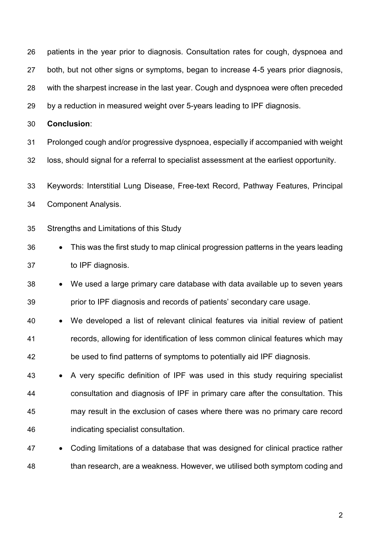| 26 | patients in the year prior to diagnosis. Consultation rates for cough, dyspnoea and             |  |  |  |  |  |  |  |
|----|-------------------------------------------------------------------------------------------------|--|--|--|--|--|--|--|
| 27 | both, but not other signs or symptoms, began to increase 4-5 years prior diagnosis,             |  |  |  |  |  |  |  |
| 28 | with the sharpest increase in the last year. Cough and dyspnoea were often preceded             |  |  |  |  |  |  |  |
| 29 | by a reduction in measured weight over 5-years leading to IPF diagnosis.                        |  |  |  |  |  |  |  |
| 30 | <b>Conclusion:</b>                                                                              |  |  |  |  |  |  |  |
| 31 | Prolonged cough and/or progressive dyspnoea, especially if accompanied with weight              |  |  |  |  |  |  |  |
| 32 | loss, should signal for a referral to specialist assessment at the earliest opportunity.        |  |  |  |  |  |  |  |
| 33 | Keywords: Interstitial Lung Disease, Free-text Record, Pathway Features, Principal              |  |  |  |  |  |  |  |
| 34 | <b>Component Analysis.</b>                                                                      |  |  |  |  |  |  |  |
| 35 | Strengths and Limitations of this Study                                                         |  |  |  |  |  |  |  |
| 36 | This was the first study to map clinical progression patterns in the years leading<br>$\bullet$ |  |  |  |  |  |  |  |
| 37 | to IPF diagnosis.                                                                               |  |  |  |  |  |  |  |
| 38 | We used a large primary care database with data available up to seven years<br>$\bullet$        |  |  |  |  |  |  |  |
| 39 | prior to IPF diagnosis and records of patients' secondary care usage.                           |  |  |  |  |  |  |  |
| 40 | We developed a list of relevant clinical features via initial review of patient                 |  |  |  |  |  |  |  |
| 41 | records, allowing for identification of less common clinical features which may                 |  |  |  |  |  |  |  |
| 42 | be used to find patterns of symptoms to potentially aid IPF diagnosis.                          |  |  |  |  |  |  |  |
| 43 | A very specific definition of IPF was used in this study requiring specialist<br>$\bullet$      |  |  |  |  |  |  |  |
| 44 | consultation and diagnosis of IPF in primary care after the consultation. This                  |  |  |  |  |  |  |  |
| 45 | may result in the exclusion of cases where there was no primary care record                     |  |  |  |  |  |  |  |
| 46 | indicating specialist consultation.                                                             |  |  |  |  |  |  |  |
| 47 | Coding limitations of a database that was designed for clinical practice rather                 |  |  |  |  |  |  |  |
| 48 | than research, are a weakness. However, we utilised both symptom coding and                     |  |  |  |  |  |  |  |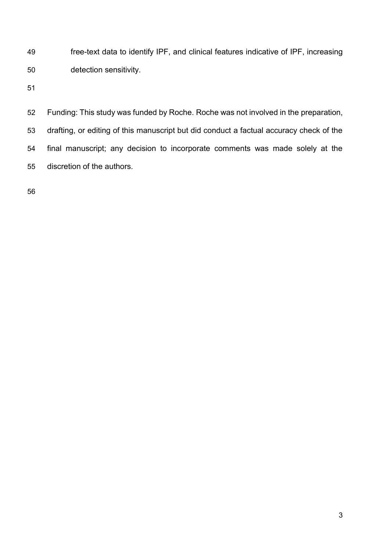free-text data to identify IPF, and clinical features indicative of IPF, increasing detection sensitivity.

 Funding: This study was funded by Roche. Roche was not involved in the preparation, drafting, or editing of this manuscript but did conduct a factual accuracy check of the final manuscript; any decision to incorporate comments was made solely at the discretion of the authors.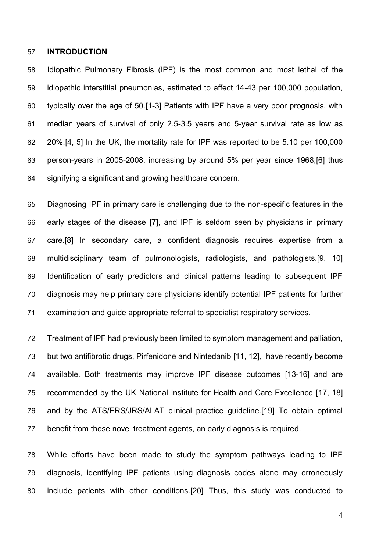#### **INTRODUCTION**

 Idiopathic Pulmonary Fibrosis (IPF) is the most common and most lethal of the idiopathic interstitial pneumonias, estimated to affect 14-43 per 100,000 population, typically over the age of 50.[1-3] Patients with IPF have a very poor prognosis, with median years of survival of only 2.5-3.5 years and 5-year survival rate as low as 20%.[4, 5] In the UK, the mortality rate for IPF was reported to be 5.10 per 100,000 person-years in 2005-2008, increasing by around 5% per year since 1968,[6] thus signifying a significant and growing healthcare concern.

 Diagnosing IPF in primary care is challenging due to the non-specific features in the early stages of the disease [7], and IPF is seldom seen by physicians in primary care.[8] In secondary care, a confident diagnosis requires expertise from a multidisciplinary team of pulmonologists, radiologists, and pathologists.[9, 10] Identification of early predictors and clinical patterns leading to subsequent IPF diagnosis may help primary care physicians identify potential IPF patients for further examination and guide appropriate referral to specialist respiratory services.

 Treatment of IPF had previously been limited to symptom management and palliation, but two antifibrotic drugs, Pirfenidone and Nintedanib [11, 12], have recently become available. Both treatments may improve IPF disease outcomes [13-16] and are recommended by the UK National Institute for Health and Care Excellence [17, 18] and by the ATS/ERS/JRS/ALAT clinical practice guideline.[19] To obtain optimal benefit from these novel treatment agents, an early diagnosis is required.

 While efforts have been made to study the symptom pathways leading to IPF diagnosis, identifying IPF patients using diagnosis codes alone may erroneously include patients with other conditions.[20] Thus, this study was conducted to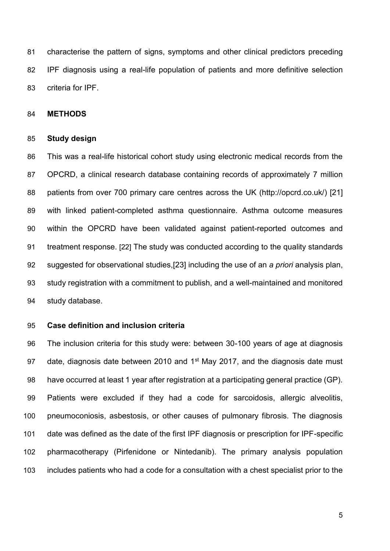characterise the pattern of signs, symptoms and other clinical predictors preceding IPF diagnosis using a real-life population of patients and more definitive selection criteria for IPF.

# **METHODS**

#### **Study design**

 This was a real-life historical cohort study using electronic medical records from the OPCRD, a clinical research database containing records of approximately 7 million patients from over 700 primary care centres across the UK (http://opcrd.co.uk/) [21] with linked patient-completed asthma questionnaire. Asthma outcome measures within the OPCRD have been validated against patient-reported outcomes and treatment response. [22] The study was conducted according to the quality standards suggested for observational studies,[23] including the use of an *a priori* analysis plan, study registration with a commitment to publish, and a well-maintained and monitored study database.

# **Case definition and inclusion criteria**

 The inclusion criteria for this study were: between 30-100 years of age at diagnosis 97 date, diagnosis date between 2010 and  $1<sup>st</sup>$  May 2017, and the diagnosis date must 98 have occurred at least 1 year after registration at a participating general practice (GP). Patients were excluded if they had a code for sarcoidosis, allergic alveolitis, pneumoconiosis, asbestosis, or other causes of pulmonary fibrosis. The diagnosis date was defined as the date of the first IPF diagnosis or prescription for IPF-specific pharmacotherapy (Pirfenidone or Nintedanib). The primary analysis population includes patients who had a code for a consultation with a chest specialist prior to the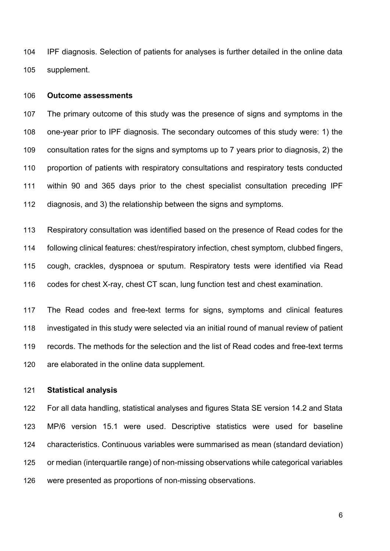IPF diagnosis. Selection of patients for analyses is further detailed in the online data supplement.

#### **Outcome assessments**

 The primary outcome of this study was the presence of signs and symptoms in the one-year prior to IPF diagnosis. The secondary outcomes of this study were: 1) the consultation rates for the signs and symptoms up to 7 years prior to diagnosis, 2) the proportion of patients with respiratory consultations and respiratory tests conducted within 90 and 365 days prior to the chest specialist consultation preceding IPF diagnosis, and 3) the relationship between the signs and symptoms.

 Respiratory consultation was identified based on the presence of Read codes for the following clinical features: chest/respiratory infection, chest symptom, clubbed fingers, cough, crackles, dyspnoea or sputum. Respiratory tests were identified via Read codes for chest X-ray, chest CT scan, lung function test and chest examination.

 The Read codes and free-text terms for signs, symptoms and clinical features investigated in this study were selected via an initial round of manual review of patient records. The methods for the selection and the list of Read codes and free-text terms are elaborated in the online data supplement.

# **Statistical analysis**

 For all data handling, statistical analyses and figures Stata SE version 14.2 and Stata MP/6 version 15.1 were used. Descriptive statistics were used for baseline characteristics. Continuous variables were summarised as mean (standard deviation) or median (interquartile range) of non-missing observations while categorical variables were presented as proportions of non-missing observations.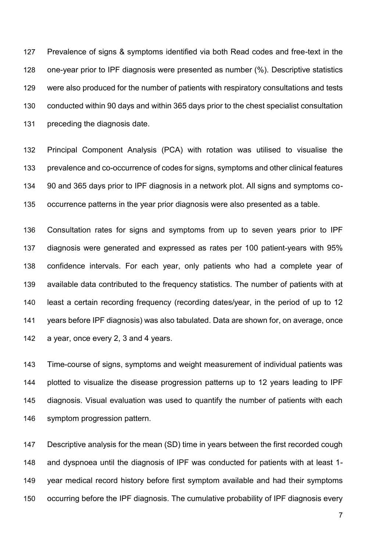Prevalence of signs & symptoms identified via both Read codes and free-text in the one-year prior to IPF diagnosis were presented as number (%). Descriptive statistics were also produced for the number of patients with respiratory consultations and tests conducted within 90 days and within 365 days prior to the chest specialist consultation preceding the diagnosis date.

 Principal Component Analysis (PCA) with rotation was utilised to visualise the prevalence and co-occurrence of codes for signs, symptoms and other clinical features 90 and 365 days prior to IPF diagnosis in a network plot. All signs and symptoms co-occurrence patterns in the year prior diagnosis were also presented as a table.

 Consultation rates for signs and symptoms from up to seven years prior to IPF diagnosis were generated and expressed as rates per 100 patient-years with 95% confidence intervals. For each year, only patients who had a complete year of available data contributed to the frequency statistics. The number of patients with at least a certain recording frequency (recording dates/year, in the period of up to 12 years before IPF diagnosis) was also tabulated. Data are shown for, on average, once a year, once every 2, 3 and 4 years.

 Time-course of signs, symptoms and weight measurement of individual patients was plotted to visualize the disease progression patterns up to 12 years leading to IPF diagnosis. Visual evaluation was used to quantify the number of patients with each symptom progression pattern.

 Descriptive analysis for the mean (SD) time in years between the first recorded cough and dyspnoea until the diagnosis of IPF was conducted for patients with at least 1- year medical record history before first symptom available and had their symptoms occurring before the IPF diagnosis. The cumulative probability of IPF diagnosis every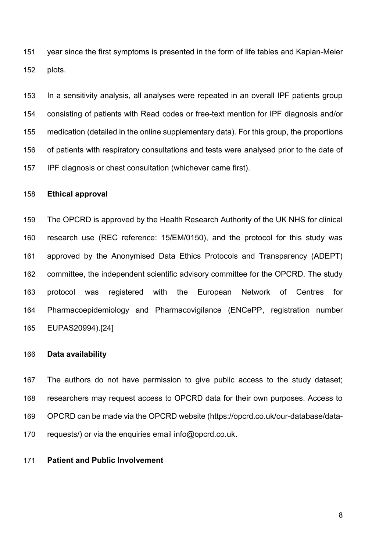year since the first symptoms is presented in the form of life tables and Kaplan-Meier plots.

 In a sensitivity analysis, all analyses were repeated in an overall IPF patients group consisting of patients with Read codes or free-text mention for IPF diagnosis and/or medication (detailed in the online supplementary data). For this group, the proportions of patients with respiratory consultations and tests were analysed prior to the date of IPF diagnosis or chest consultation (whichever came first).

# **Ethical approval**

 The OPCRD is approved by the Health Research Authority of the UK NHS for clinical research use (REC reference: 15/EM/0150), and the protocol for this study was approved by the Anonymised Data Ethics Protocols and Transparency (ADEPT) committee, the independent scientific advisory committee for the OPCRD. The study protocol was registered with the European Network of Centres for Pharmacoepidemiology and Pharmacovigilance (ENCePP, registration number EUPAS20994).[24]

# **Data availability**

 The authors do not have permission to give public access to the study dataset; researchers may request access to OPCRD data for their own purposes. Access to OPCRD can be made via the OPCRD website (https://opcrd.co.uk/our-database/data-170 requests/) or via the enquiries email info@opcrd.co.uk.

**Patient and Public Involvement**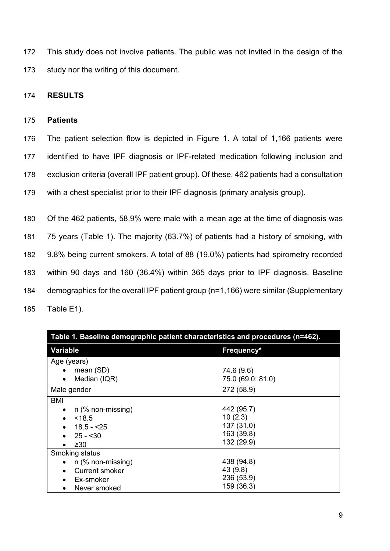172 This study does not involve patients. The public was not invited in the design of the 173 study nor the writing of this document.

# 174 **RESULTS**

# 175 **Patients**

 The patient selection flow is depicted in Figure 1. A total of 1,166 patients were identified to have IPF diagnosis or IPF-related medication following inclusion and exclusion criteria (overall IPF patient group). Of these, 462 patients had a consultation with a chest specialist prior to their IPF diagnosis (primary analysis group).

 Of the 462 patients, 58.9% were male with a mean age at the time of diagnosis was 75 years (Table 1). The majority (63.7%) of patients had a history of smoking, with 9.8% being current smokers. A total of 88 (19.0%) patients had spirometry recorded within 90 days and 160 (36.4%) within 365 days prior to IPF diagnosis. Baseline demographics for the overall IPF patient group (n=1,166) were similar (Supplementary Table E1).

| Table 1. Baseline demographic patient characteristics and procedures (n=462).             |                                                                 |  |  |  |  |
|-------------------------------------------------------------------------------------------|-----------------------------------------------------------------|--|--|--|--|
| <b>Variable</b>                                                                           | Frequency*                                                      |  |  |  |  |
| Age (years)<br>mean (SD)<br>Median (IQR)<br>$\bullet$                                     | 74.6 (9.6)<br>75.0 (69.0; 81.0)                                 |  |  |  |  |
| Male gender                                                                               | 272 (58.9)                                                      |  |  |  |  |
| BMI<br>n (% non-missing)<br><18.5<br>18.5 - <25<br>$25 - 30$<br>$\geq 30$                 | 442 (95.7)<br>10(2.3)<br>137 (31.0)<br>163 (39.8)<br>132 (29.9) |  |  |  |  |
| Smoking status<br>n (% non-missing)<br><b>Current smoker</b><br>Ex-smoker<br>Never smoked | 438 (94.8)<br>43 (9.8)<br>236 (53.9)<br>159 (36.3)              |  |  |  |  |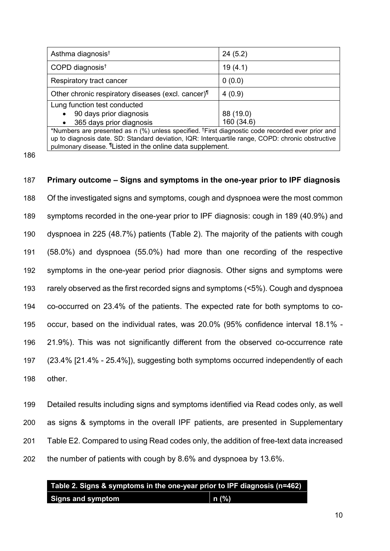| Asthma diagnosis <sup>t</sup>                                                                                | 24(5.2)    |  |  |  |  |
|--------------------------------------------------------------------------------------------------------------|------------|--|--|--|--|
| COPD diagnosis <sup>t</sup>                                                                                  | 19(4.1)    |  |  |  |  |
| Respiratory tract cancer                                                                                     | 0(0.0)     |  |  |  |  |
| Other chronic respiratory diseases (excl. cancer)                                                            | 4(0.9)     |  |  |  |  |
| Lung function test conducted                                                                                 |            |  |  |  |  |
| 90 days prior diagnosis                                                                                      | 88 (19.0)  |  |  |  |  |
| 365 days prior diagnosis<br>$\bullet$                                                                        | 160 (34.6) |  |  |  |  |
| *Numbers are presented as n (%) unless specified. <sup>†</sup> First diagnostic code recorded ever prior and |            |  |  |  |  |
| up to diagnosis date. SD: Standard deviation, IQR: Interquartile range, COPD: chronic obstructive            |            |  |  |  |  |
| pulmonary disease. <sup>1</sup> Listed in the online data supplement.                                        |            |  |  |  |  |

186

# 187 **Primary outcome – Signs and symptoms in the one-year prior to IPF diagnosis** 188 Of the investigated signs and symptoms, cough and dyspnoea were the most common 189 symptoms recorded in the one-year prior to IPF diagnosis: cough in 189 (40.9%) and 190 dyspnoea in 225 (48.7%) patients (Table 2). The majority of the patients with cough 191 (58.0%) and dyspnoea (55.0%) had more than one recording of the respective 192 symptoms in the one-year period prior diagnosis. Other signs and symptoms were 193 rarely observed as the first recorded signs and symptoms (<5%). Cough and dyspnoea 194 co-occurred on 23.4% of the patients. The expected rate for both symptoms to co-195 occur, based on the individual rates, was 20.0% (95% confidence interval 18.1% - 196 21.9%). This was not significantly different from the observed co-occurrence rate 197 (23.4% [21.4% - 25.4%]), suggesting both symptoms occurred independently of each 198 other.

 Detailed results including signs and symptoms identified via Read codes only, as well as signs & symptoms in the overall IPF patients, are presented in Supplementary Table E2. Compared to using Read codes only, the addition of free-text data increased the number of patients with cough by 8.6% and dyspnoea by 13.6%.

# **Table 2. Signs & symptoms in the one-year prior to IPF diagnosis (n=462) Signs and symptom** and a n (%)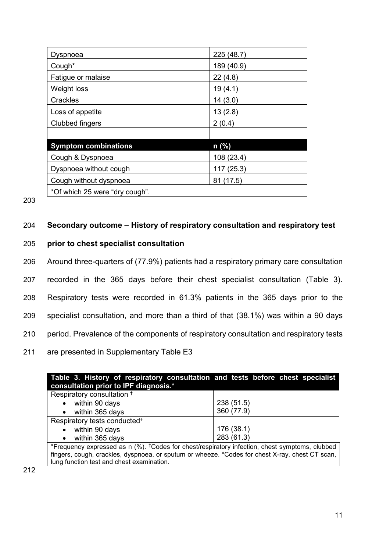| Dyspnoea                       | 225(48.7)  |  |  |  |
|--------------------------------|------------|--|--|--|
| Cough*                         | 189 (40.9) |  |  |  |
| Fatigue or malaise             | 22(4.8)    |  |  |  |
| Weight loss                    | 19(4.1)    |  |  |  |
| Crackles                       | 14(3.0)    |  |  |  |
| Loss of appetite               | 13(2.8)    |  |  |  |
| Clubbed fingers                | 2(0.4)     |  |  |  |
|                                |            |  |  |  |
| <b>Symptom combinations</b>    | n (%)      |  |  |  |
| Cough & Dyspnoea               | 108 (23.4) |  |  |  |
| Dyspnoea without cough         | 117 (25.3) |  |  |  |
| Cough without dyspnoea         | 81 (17.5)  |  |  |  |
| *Of which 25 were "dry cough". |            |  |  |  |

203

# 204 **Secondary outcome – History of respiratory consultation and respiratory test**

# 205 **prior to chest specialist consultation**

206 Around three-quarters of (77.9%) patients had a respiratory primary care consultation

207 recorded in the 365 days before their chest specialist consultation (Table 3).

208 Respiratory tests were recorded in 61.3% patients in the 365 days prior to the

209 specialist consultation, and more than a third of that (38.1%) was within a 90 days

210 period. Prevalence of the components of respiratory consultation and respiratory tests

# 211 are presented in Supplementary Table E3

| Table 3. History of respiratory consultation and tests before chest specialist                               |            |  |  |  |  |  |  |  |
|--------------------------------------------------------------------------------------------------------------|------------|--|--|--|--|--|--|--|
| consultation prior to IPF diagnosis.*                                                                        |            |  |  |  |  |  |  |  |
| Respiratory consultation <sup>+</sup>                                                                        |            |  |  |  |  |  |  |  |
| within 90 days                                                                                               | 238 (51.5) |  |  |  |  |  |  |  |
| within 365 days<br>$\bullet$                                                                                 | 360 (77.9) |  |  |  |  |  |  |  |
| Respiratory tests conducted <sup>#</sup>                                                                     |            |  |  |  |  |  |  |  |
| within 90 days<br>$\bullet$                                                                                  | 176 (38.1) |  |  |  |  |  |  |  |
| within 365 days<br>$\bullet$                                                                                 | 283 (61.3) |  |  |  |  |  |  |  |
| *Frequency expressed as $n$ (%). <sup>†</sup> Codes for chest/respiratory infection, chest symptoms, clubbed |            |  |  |  |  |  |  |  |
| fingers, cough, crackles, dyspnoea, or sputum or wheeze. *Codes for chest X-ray, chest CT scan,              |            |  |  |  |  |  |  |  |
| lung function test and chest examination.                                                                    |            |  |  |  |  |  |  |  |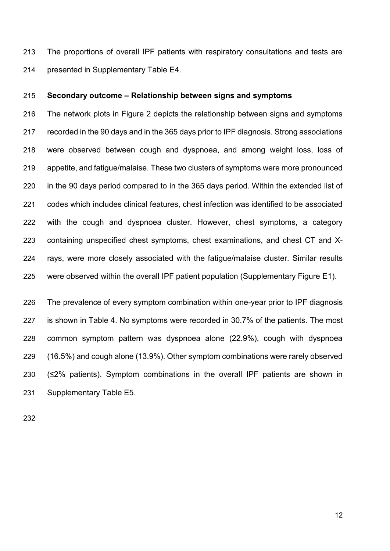The proportions of overall IPF patients with respiratory consultations and tests are presented in Supplementary Table E4.

# **Secondary outcome – Relationship between signs and symptoms**

 The network plots in Figure 2 depicts the relationship between signs and symptoms recorded in the 90 days and in the 365 days prior to IPF diagnosis. Strong associations were observed between cough and dyspnoea, and among weight loss, loss of appetite, and fatigue/malaise. These two clusters of symptoms were more pronounced in the 90 days period compared to in the 365 days period. Within the extended list of codes which includes clinical features, chest infection was identified to be associated with the cough and dyspnoea cluster. However, chest symptoms, a category containing unspecified chest symptoms, chest examinations, and chest CT and X- rays, were more closely associated with the fatigue/malaise cluster. Similar results were observed within the overall IPF patient population (Supplementary Figure E1).

 The prevalence of every symptom combination within one-year prior to IPF diagnosis is shown in Table 4. No symptoms were recorded in 30.7% of the patients. The most common symptom pattern was dyspnoea alone (22.9%), cough with dyspnoea (16.5%) and cough alone (13.9%). Other symptom combinations were rarely observed (≤2% patients). Symptom combinations in the overall IPF patients are shown in Supplementary Table E5.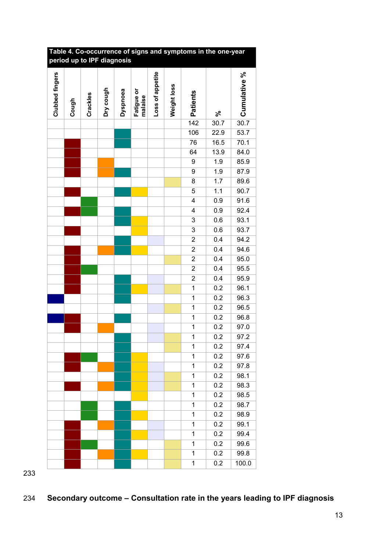| Table 4. Co-occurrence of signs and symptoms in the one-year<br>period up to IPF diagnosis |       |          |           |          |                       |                  |             |                         |      |              |
|--------------------------------------------------------------------------------------------|-------|----------|-----------|----------|-----------------------|------------------|-------------|-------------------------|------|--------------|
| Clubbed fingers                                                                            | Cough | Crackles | Dry cough | Dyspnoea | Fatigue or<br>malaise | Loss of appetite | Weight loss | Patients                | న్   | Cumulative % |
|                                                                                            |       |          |           |          |                       |                  |             | 142                     | 30.7 | 30.7         |
|                                                                                            |       |          |           |          |                       |                  |             | 106                     | 22.9 | 53.7         |
|                                                                                            |       |          |           |          |                       |                  |             | 76                      | 16.5 | 70.1         |
|                                                                                            |       |          |           |          |                       |                  |             | 64                      | 13.9 | 84.0         |
|                                                                                            |       |          |           |          |                       |                  |             | 9                       | 1.9  | 85.9         |
|                                                                                            |       |          |           |          |                       |                  |             | 9                       | 1.9  | 87.9         |
|                                                                                            |       |          |           |          |                       |                  |             | 8                       | 1.7  | 89.6         |
|                                                                                            |       |          |           |          |                       |                  |             | $\overline{5}$          | 1.1  | 90.7         |
|                                                                                            |       |          |           |          |                       |                  |             | 4                       | 0.9  | 91.6         |
|                                                                                            |       |          |           |          |                       |                  |             | 4                       | 0.9  | 92.4         |
|                                                                                            |       |          |           |          |                       |                  |             | 3                       | 0.6  | 93.1         |
|                                                                                            |       |          |           |          |                       |                  |             | $\overline{3}$          | 0.6  | 93.7         |
|                                                                                            |       |          |           |          |                       |                  |             | $\overline{\mathbf{c}}$ | 0.4  | 94.2         |
|                                                                                            |       |          |           |          |                       |                  |             | $\overline{2}$          | 0.4  | 94.6         |
|                                                                                            |       |          |           |          |                       |                  |             | $\overline{2}$          | 0.4  | 95.0         |
|                                                                                            |       |          |           |          |                       |                  |             | $\overline{2}$          | 0.4  | 95.5         |
|                                                                                            |       |          |           |          |                       |                  |             | $\overline{2}$          | 0.4  | 95.9         |
|                                                                                            |       |          |           |          |                       |                  |             | $\overline{1}$          | 0.2  | 96.1         |
|                                                                                            |       |          |           |          |                       |                  |             | $\mathbf 1$             | 0.2  | 96.3         |
|                                                                                            |       |          |           |          |                       |                  |             | $\mathbf 1$             | 0.2  | 96.5         |
|                                                                                            |       |          |           |          |                       |                  |             | $\mathbf 1$             | 0.2  | 96.8         |
|                                                                                            |       |          |           |          |                       |                  |             | $\mathbf 1$             | 0.2  | 97.0         |
|                                                                                            |       |          |           |          |                       |                  |             | $\overline{\mathbf{1}}$ | 0.2  | 97.2         |
|                                                                                            |       |          |           |          |                       |                  |             | 1                       | 0.2  | 97.4         |
|                                                                                            |       |          |           |          |                       |                  |             | 1                       | 0.2  | 97.6         |
|                                                                                            |       |          |           |          |                       |                  |             | 1                       | 0.2  | 97.8         |
|                                                                                            |       |          |           |          |                       |                  |             | $\overline{1}$          | 0.2  | 98.1         |
|                                                                                            |       |          |           |          |                       |                  |             | 1                       | 0.2  | 98.3         |
|                                                                                            |       |          |           |          |                       |                  |             | 1                       | 0.2  | 98.5         |
|                                                                                            |       |          |           |          |                       |                  |             | 1                       | 0.2  | 98.7         |
|                                                                                            |       |          |           |          |                       |                  |             | 1                       | 0.2  | 98.9         |
|                                                                                            |       |          |           |          |                       |                  |             | 1                       | 0.2  | 99.1         |
|                                                                                            |       |          |           |          |                       |                  |             | 1                       | 0.2  | 99.4         |
|                                                                                            |       |          |           |          |                       |                  |             | 1                       | 0.2  | 99.6         |
|                                                                                            |       |          |           |          |                       |                  |             | 1                       | 0.2  | 99.8         |
|                                                                                            |       |          |           |          |                       |                  |             | 1                       | 0.2  | 100.0        |
|                                                                                            |       |          |           |          |                       |                  |             |                         |      |              |

# **Table 4. Co-occurrence of signs and symptoms in the one-year**

# **Secondary outcome – Consultation rate in the years leading to IPF diagnosis**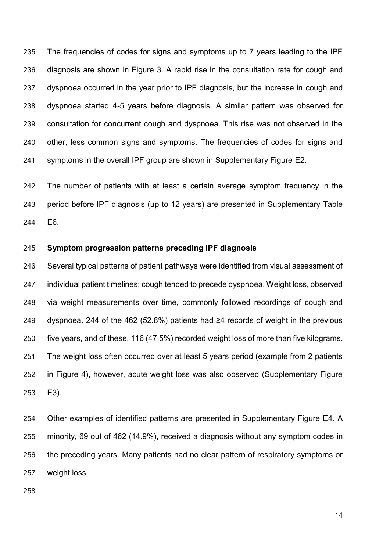The frequencies of codes for signs and symptoms up to 7 years leading to the IPF diagnosis are shown in Figure 3. A rapid rise in the consultation rate for cough and dyspnoea occurred in the year prior to IPF diagnosis, but the increase in cough and dyspnoea started 4-5 years before diagnosis. A similar pattern was observed for consultation for concurrent cough and dyspnoea. This rise was not observed in the other, less common signs and symptoms. The frequencies of codes for signs and symptoms in the overall IPF group are shown in Supplementary Figure E2.

 The number of patients with at least a certain average symptom frequency in the period before IPF diagnosis (up to 12 years) are presented in Supplementary Table E6.

# **Symptom progression patterns preceding IPF diagnosis**

 Several typical patterns of patient pathways were identified from visual assessment of individual patient timelines; cough tended to precede dyspnoea. Weight loss, observed via weight measurements over time, commonly followed recordings of cough and dyspnoea. 244 of the 462 (52.8%) patients had ≥4 records of weight in the previous five years, and of these, 116 (47.5%) recorded weight loss of more than five kilograms. The weight loss often occurred over at least 5 years period (example from 2 patients in Figure 4), however, acute weight loss was also observed (Supplementary Figure E3).

 Other examples of identified patterns are presented in Supplementary Figure E4. A minority, 69 out of 462 (14.9%), received a diagnosis without any symptom codes in the preceding years. Many patients had no clear pattern of respiratory symptoms or weight loss.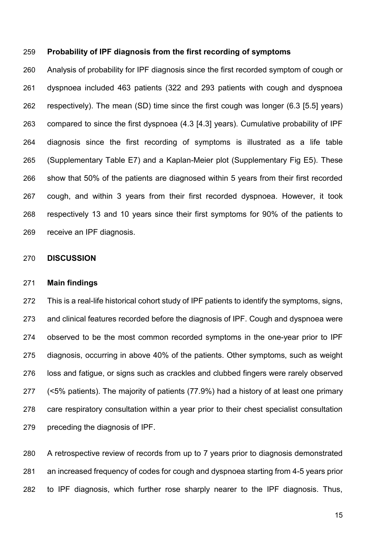# **Probability of IPF diagnosis from the first recording of symptoms**

 Analysis of probability for IPF diagnosis since the first recorded symptom of cough or dyspnoea included 463 patients (322 and 293 patients with cough and dyspnoea respectively). The mean (SD) time since the first cough was longer (6.3 [5.5] years) compared to since the first dyspnoea (4.3 [4.3] years). Cumulative probability of IPF diagnosis since the first recording of symptoms is illustrated as a life table (Supplementary Table E7) and a Kaplan-Meier plot (Supplementary Fig E5). These show that 50% of the patients are diagnosed within 5 years from their first recorded cough, and within 3 years from their first recorded dyspnoea. However, it took respectively 13 and 10 years since their first symptoms for 90% of the patients to receive an IPF diagnosis.

#### **DISCUSSION**

#### **Main findings**

 This is a real-life historical cohort study of IPF patients to identify the symptoms, signs, and clinical features recorded before the diagnosis of IPF. Cough and dyspnoea were observed to be the most common recorded symptoms in the one-year prior to IPF diagnosis, occurring in above 40% of the patients. Other symptoms, such as weight loss and fatigue, or signs such as crackles and clubbed fingers were rarely observed (<5% patients). The majority of patients (77.9%) had a history of at least one primary care respiratory consultation within a year prior to their chest specialist consultation preceding the diagnosis of IPF.

 A retrospective review of records from up to 7 years prior to diagnosis demonstrated an increased frequency of codes for cough and dyspnoea starting from 4-5 years prior to IPF diagnosis, which further rose sharply nearer to the IPF diagnosis. Thus,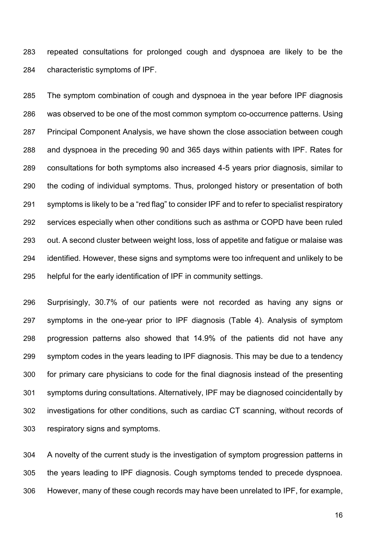repeated consultations for prolonged cough and dyspnoea are likely to be the characteristic symptoms of IPF.

 The symptom combination of cough and dyspnoea in the year before IPF diagnosis was observed to be one of the most common symptom co-occurrence patterns. Using Principal Component Analysis, we have shown the close association between cough and dyspnoea in the preceding 90 and 365 days within patients with IPF. Rates for consultations for both symptoms also increased 4-5 years prior diagnosis, similar to the coding of individual symptoms. Thus, prolonged history or presentation of both symptoms is likely to be a "red flag" to consider IPF and to refer to specialist respiratory services especially when other conditions such as asthma or COPD have been ruled out. A second cluster between weight loss, loss of appetite and fatigue or malaise was identified. However, these signs and symptoms were too infrequent and unlikely to be helpful for the early identification of IPF in community settings.

 Surprisingly, 30.7% of our patients were not recorded as having any signs or symptoms in the one-year prior to IPF diagnosis (Table 4). Analysis of symptom progression patterns also showed that 14.9% of the patients did not have any symptom codes in the years leading to IPF diagnosis. This may be due to a tendency for primary care physicians to code for the final diagnosis instead of the presenting symptoms during consultations. Alternatively, IPF may be diagnosed coincidentally by investigations for other conditions, such as cardiac CT scanning, without records of respiratory signs and symptoms.

 A novelty of the current study is the investigation of symptom progression patterns in the years leading to IPF diagnosis. Cough symptoms tended to precede dyspnoea. However, many of these cough records may have been unrelated to IPF, for example,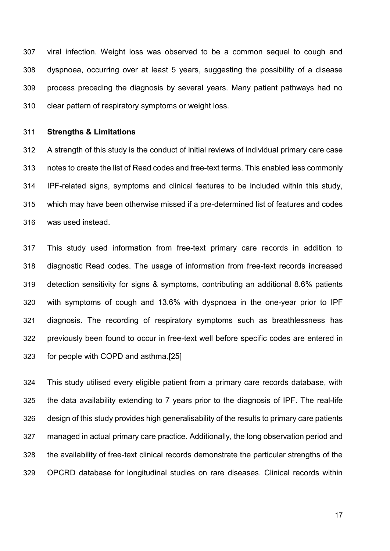viral infection. Weight loss was observed to be a common sequel to cough and dyspnoea, occurring over at least 5 years, suggesting the possibility of a disease process preceding the diagnosis by several years. Many patient pathways had no clear pattern of respiratory symptoms or weight loss.

#### **Strengths & Limitations**

 A strength of this study is the conduct of initial reviews of individual primary care case notes to create the list of Read codes and free-text terms. This enabled less commonly IPF-related signs, symptoms and clinical features to be included within this study, which may have been otherwise missed if a pre-determined list of features and codes was used instead.

 This study used information from free-text primary care records in addition to diagnostic Read codes. The usage of information from free-text records increased detection sensitivity for signs & symptoms, contributing an additional 8.6% patients with symptoms of cough and 13.6% with dyspnoea in the one-year prior to IPF diagnosis. The recording of respiratory symptoms such as breathlessness has previously been found to occur in free-text well before specific codes are entered in for people with COPD and asthma.[25]

 This study utilised every eligible patient from a primary care records database, with the data availability extending to 7 years prior to the diagnosis of IPF. The real-life design of this study provides high generalisability of the results to primary care patients managed in actual primary care practice. Additionally, the long observation period and the availability of free-text clinical records demonstrate the particular strengths of the OPCRD database for longitudinal studies on rare diseases. Clinical records within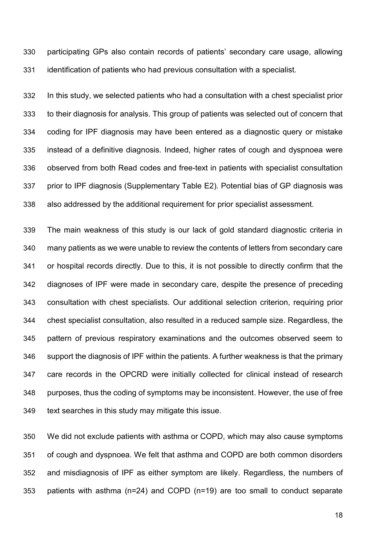participating GPs also contain records of patients' secondary care usage, allowing identification of patients who had previous consultation with a specialist.

 In this study, we selected patients who had a consultation with a chest specialist prior to their diagnosis for analysis. This group of patients was selected out of concern that coding for IPF diagnosis may have been entered as a diagnostic query or mistake instead of a definitive diagnosis. Indeed, higher rates of cough and dyspnoea were observed from both Read codes and free-text in patients with specialist consultation prior to IPF diagnosis (Supplementary Table E2). Potential bias of GP diagnosis was also addressed by the additional requirement for prior specialist assessment.

 The main weakness of this study is our lack of gold standard diagnostic criteria in many patients as we were unable to review the contents of letters from secondary care or hospital records directly. Due to this, it is not possible to directly confirm that the diagnoses of IPF were made in secondary care, despite the presence of preceding consultation with chest specialists. Our additional selection criterion, requiring prior chest specialist consultation, also resulted in a reduced sample size. Regardless, the pattern of previous respiratory examinations and the outcomes observed seem to support the diagnosis of IPF within the patients. A further weakness is that the primary care records in the OPCRD were initially collected for clinical instead of research purposes, thus the coding of symptoms may be inconsistent. However, the use of free 349 text searches in this study may mitigate this issue.

 We did not exclude patients with asthma or COPD, which may also cause symptoms of cough and dyspnoea. We felt that asthma and COPD are both common disorders and misdiagnosis of IPF as either symptom are likely. Regardless, the numbers of patients with asthma (n=24) and COPD (n=19) are too small to conduct separate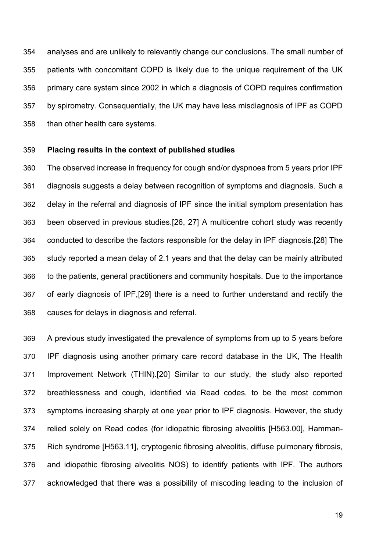analyses and are unlikely to relevantly change our conclusions. The small number of patients with concomitant COPD is likely due to the unique requirement of the UK primary care system since 2002 in which a diagnosis of COPD requires confirmation by spirometry. Consequentially, the UK may have less misdiagnosis of IPF as COPD than other health care systems.

# **Placing results in the context of published studies**

 The observed increase in frequency for cough and/or dyspnoea from 5 years prior IPF diagnosis suggests a delay between recognition of symptoms and diagnosis. Such a delay in the referral and diagnosis of IPF since the initial symptom presentation has been observed in previous studies.[26, 27] A multicentre cohort study was recently conducted to describe the factors responsible for the delay in IPF diagnosis.[28] The study reported a mean delay of 2.1 years and that the delay can be mainly attributed to the patients, general practitioners and community hospitals. Due to the importance of early diagnosis of IPF,[29] there is a need to further understand and rectify the causes for delays in diagnosis and referral.

 A previous study investigated the prevalence of symptoms from up to 5 years before IPF diagnosis using another primary care record database in the UK, The Health Improvement Network (THIN).[20] Similar to our study, the study also reported breathlessness and cough, identified via Read codes, to be the most common symptoms increasing sharply at one year prior to IPF diagnosis. However, the study relied solely on Read codes (for idiopathic fibrosing alveolitis [H563.00], Hamman- Rich syndrome [H563.11], cryptogenic fibrosing alveolitis, diffuse pulmonary fibrosis, and idiopathic fibrosing alveolitis NOS) to identify patients with IPF. The authors acknowledged that there was a possibility of miscoding leading to the inclusion of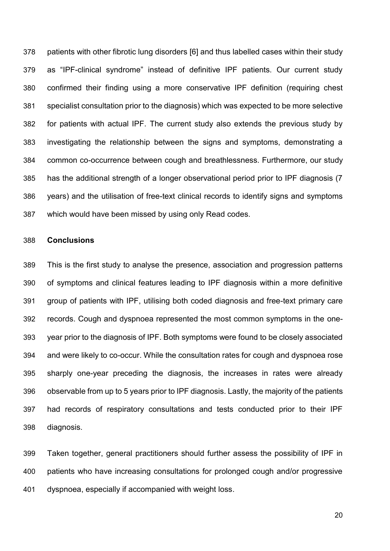patients with other fibrotic lung disorders [6] and thus labelled cases within their study as "IPF-clinical syndrome" instead of definitive IPF patients. Our current study confirmed their finding using a more conservative IPF definition (requiring chest specialist consultation prior to the diagnosis) which was expected to be more selective for patients with actual IPF. The current study also extends the previous study by investigating the relationship between the signs and symptoms, demonstrating a common co-occurrence between cough and breathlessness. Furthermore, our study has the additional strength of a longer observational period prior to IPF diagnosis (7 years) and the utilisation of free-text clinical records to identify signs and symptoms which would have been missed by using only Read codes.

# **Conclusions**

 This is the first study to analyse the presence, association and progression patterns of symptoms and clinical features leading to IPF diagnosis within a more definitive group of patients with IPF, utilising both coded diagnosis and free-text primary care records. Cough and dyspnoea represented the most common symptoms in the one- year prior to the diagnosis of IPF. Both symptoms were found to be closely associated and were likely to co-occur. While the consultation rates for cough and dyspnoea rose sharply one-year preceding the diagnosis, the increases in rates were already observable from up to 5 years prior to IPF diagnosis. Lastly, the majority of the patients had records of respiratory consultations and tests conducted prior to their IPF diagnosis.

 Taken together, general practitioners should further assess the possibility of IPF in patients who have increasing consultations for prolonged cough and/or progressive dyspnoea, especially if accompanied with weight loss.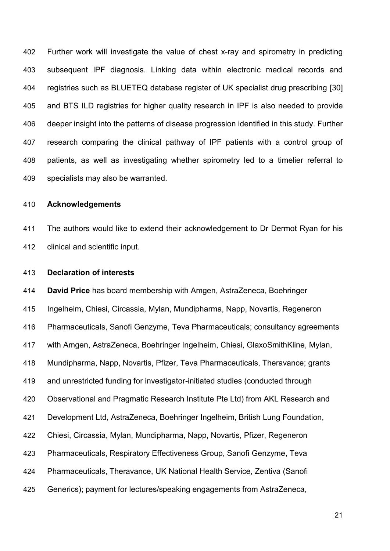Further work will investigate the value of chest x-ray and spirometry in predicting subsequent IPF diagnosis. Linking data within electronic medical records and registries such as BLUETEQ database register of UK specialist drug prescribing [30] and BTS ILD registries for higher quality research in IPF is also needed to provide deeper insight into the patterns of disease progression identified in this study. Further research comparing the clinical pathway of IPF patients with a control group of patients, as well as investigating whether spirometry led to a timelier referral to specialists may also be warranted.

# **Acknowledgements**

 The authors would like to extend their acknowledgement to Dr Dermot Ryan for his clinical and scientific input.

## **Declaration of interests**

 **David Price** has board membership with Amgen, AstraZeneca, Boehringer Ingelheim, Chiesi, Circassia, Mylan, Mundipharma, Napp, Novartis, Regeneron Pharmaceuticals, Sanofi Genzyme, Teva Pharmaceuticals; consultancy agreements with Amgen, AstraZeneca, Boehringer Ingelheim, Chiesi, GlaxoSmithKline, Mylan, Mundipharma, Napp, Novartis, Pfizer, Teva Pharmaceuticals, Theravance; grants and unrestricted funding for investigator-initiated studies (conducted through Observational and Pragmatic Research Institute Pte Ltd) from AKL Research and Development Ltd, AstraZeneca, Boehringer Ingelheim, British Lung Foundation, Chiesi, Circassia, Mylan, Mundipharma, Napp, Novartis, Pfizer, Regeneron Pharmaceuticals, Respiratory Effectiveness Group, Sanofi Genzyme, Teva Pharmaceuticals, Theravance, UK National Health Service, Zentiva (Sanofi Generics); payment for lectures/speaking engagements from AstraZeneca,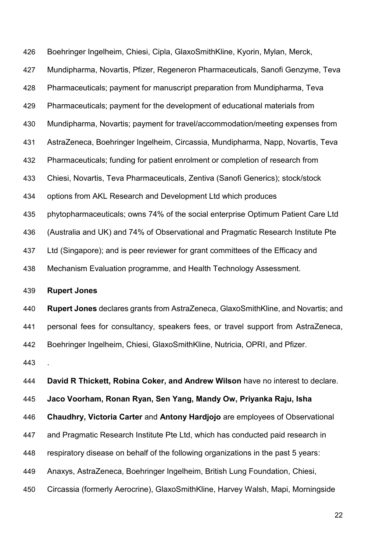Boehringer Ingelheim, Chiesi, Cipla, GlaxoSmithKline, Kyorin, Mylan, Merck, Mundipharma, Novartis, Pfizer, Regeneron Pharmaceuticals, Sanofi Genzyme, Teva Pharmaceuticals; payment for manuscript preparation from Mundipharma, Teva Pharmaceuticals; payment for the development of educational materials from Mundipharma, Novartis; payment for travel/accommodation/meeting expenses from AstraZeneca, Boehringer Ingelheim, Circassia, Mundipharma, Napp, Novartis, Teva Pharmaceuticals; funding for patient enrolment or completion of research from Chiesi, Novartis, Teva Pharmaceuticals, Zentiva (Sanofi Generics); stock/stock options from AKL Research and Development Ltd which produces phytopharmaceuticals; owns 74% of the social enterprise Optimum Patient Care Ltd (Australia and UK) and 74% of Observational and Pragmatic Research Institute Pte Ltd (Singapore); and is peer reviewer for grant committees of the Efficacy and Mechanism Evaluation programme, and Health Technology Assessment. **Rupert Jones Rupert Jones** declares grants from AstraZeneca, GlaxoSmithKline, and Novartis; and personal fees for consultancy, speakers fees, or travel support from AstraZeneca, Boehringer Ingelheim, Chiesi, GlaxoSmithKline, Nutricia, OPRI, and Pfizer. . **David R Thickett, Robina Coker, and Andrew Wilson** have no interest to declare. **Jaco Voorham, Ronan Ryan, Sen Yang, Mandy Ow, Priyanka Raju, Isha Chaudhry, Victoria Carter** and **Antony Hardjojo** are employees of Observational and Pragmatic Research Institute Pte Ltd, which has conducted paid research in respiratory disease on behalf of the following organizations in the past 5 years:

Anaxys, AstraZeneca, Boehringer Ingelheim, British Lung Foundation, Chiesi,

Circassia (formerly Aerocrine), GlaxoSmithKline, Harvey Walsh, Mapi, Morningside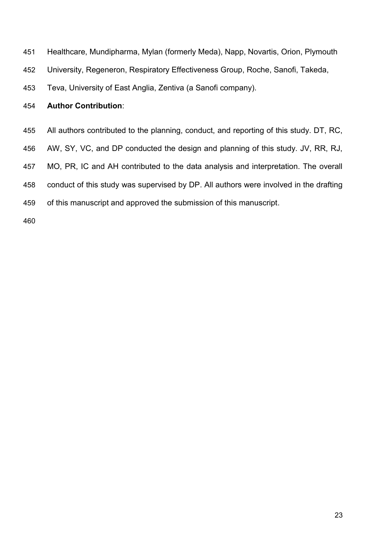- Healthcare, Mundipharma, Mylan (formerly Meda), Napp, Novartis, Orion, Plymouth
- University, Regeneron, Respiratory Effectiveness Group, Roche, Sanofi, Takeda,
- Teva, University of East Anglia, Zentiva (a Sanofi company).

# **Author Contribution**:

- All authors contributed to the planning, conduct, and reporting of this study. DT, RC,
- AW, SY, VC, and DP conducted the design and planning of this study. JV, RR, RJ,
- MO, PR, IC and AH contributed to the data analysis and interpretation. The overall
- conduct of this study was supervised by DP. All authors were involved in the drafting
- of this manuscript and approved the submission of this manuscript.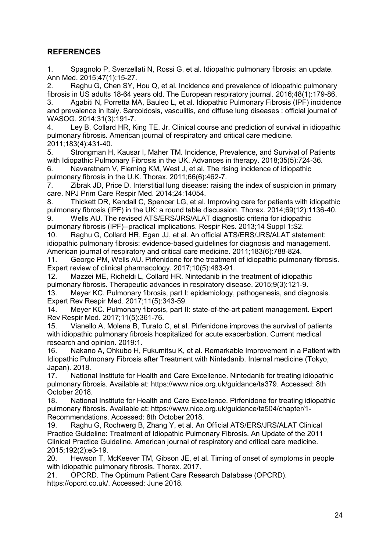# **REFERENCES**

1. Spagnolo P, Sverzellati N, Rossi G, et al. Idiopathic pulmonary fibrosis: an update. Ann Med. 2015;47(1):15-27.

2. Raghu G, Chen SY, Hou Q, et al. Incidence and prevalence of idiopathic pulmonary fibrosis in US adults 18-64 years old. The European respiratory journal. 2016;48(1):179-86.

3. Agabiti N, Porretta MA, Bauleo L, et al. Idiopathic Pulmonary Fibrosis (IPF) incidence and prevalence in Italy. Sarcoidosis, vasculitis, and diffuse lung diseases : official journal of WASOG. 2014;31(3):191-7.

4. Ley B, Collard HR, King TE, Jr. Clinical course and prediction of survival in idiopathic pulmonary fibrosis. American journal of respiratory and critical care medicine. 2011;183(4):431-40.

5. Strongman H, Kausar I, Maher TM. Incidence, Prevalence, and Survival of Patients with Idiopathic Pulmonary Fibrosis in the UK. Advances in therapy. 2018;35(5):724-36.

6. Navaratnam V, Fleming KM, West J, et al. The rising incidence of idiopathic pulmonary fibrosis in the U.K. Thorax. 2011;66(6):462-7.

7. Zibrak JD, Price D. Interstitial lung disease: raising the index of suspicion in primary care. NPJ Prim Care Respir Med. 2014;24:14054.

8. Thickett DR, Kendall C, Spencer LG, et al. Improving care for patients with idiopathic pulmonary fibrosis (IPF) in the UK: a round table discussion. Thorax. 2014;69(12):1136-40.

9. Wells AU. The revised ATS/ERS/JRS/ALAT diagnostic criteria for idiopathic pulmonary fibrosis (IPF)--practical implications. Respir Res. 2013;14 Suppl 1:S2.

10. Raghu G, Collard HR, Egan JJ, et al. An official ATS/ERS/JRS/ALAT statement: idiopathic pulmonary fibrosis: evidence-based guidelines for diagnosis and management. American journal of respiratory and critical care medicine. 2011;183(6):788-824.

11. George PM, Wells AU. Pirfenidone for the treatment of idiopathic pulmonary fibrosis. Expert review of clinical pharmacology. 2017;10(5):483-91.

12. Mazzei ME, Richeldi L, Collard HR. Nintedanib in the treatment of idiopathic pulmonary fibrosis. Therapeutic advances in respiratory disease. 2015;9(3):121-9.

13. Meyer KC. Pulmonary fibrosis, part I: epidemiology, pathogenesis, and diagnosis. Expert Rev Respir Med. 2017;11(5):343-59.

14. Meyer KC. Pulmonary fibrosis, part II: state-of-the-art patient management. Expert Rev Respir Med. 2017;11(5):361-76.

15. Vianello A, Molena B, Turato C, et al. Pirfenidone improves the survival of patients with idiopathic pulmonary fibrosis hospitalized for acute exacerbation. Current medical research and opinion. 2019:1.

16. Nakano A, Ohkubo H, Fukumitsu K, et al. Remarkable Improvement in a Patient with Idiopathic Pulmonary Fibrosis after Treatment with Nintedanib. Internal medicine (Tokyo, Japan). 2018.

17. National Institute for Health and Care Excellence. Nintedanib for treating idiopathic pulmonary fibrosis. Available at: https://www.nice.org.uk/guidance/ta379. Accessed: 8th October 2018.

18. National Institute for Health and Care Excellence. Pirfenidone for treating idiopathic pulmonary fibrosis. Available at: https://www.nice.org.uk/guidance/ta504/chapter/1- Recommendations. Accessed: 8th October 2018.

19. Raghu G, Rochwerg B, Zhang Y, et al. An Official ATS/ERS/JRS/ALAT Clinical Practice Guideline: Treatment of Idiopathic Pulmonary Fibrosis. An Update of the 2011 Clinical Practice Guideline. American journal of respiratory and critical care medicine. 2015;192(2):e3-19.

20. Hewson T, McKeever TM, Gibson JE, et al. Timing of onset of symptoms in people with idiopathic pulmonary fibrosis. Thorax. 2017.

21. OPCRD. The Optimum Patient Care Research Database (OPCRD). https://opcrd.co.uk/. Accessed: June 2018.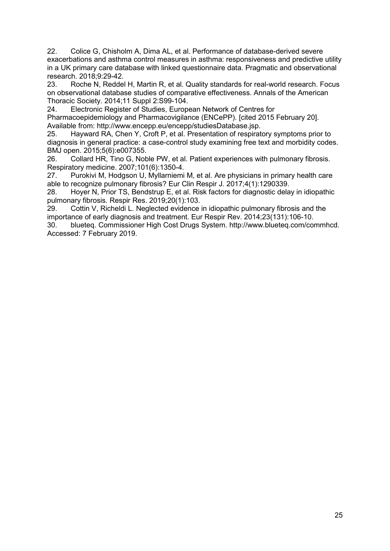22. Colice G, Chisholm A, Dima AL, et al. Performance of database-derived severe exacerbations and asthma control measures in asthma: responsiveness and predictive utility in a UK primary care database with linked questionnaire data. Pragmatic and observational research. 2018;9:29-42.

23. Roche N, Reddel H, Martin R, et al. Quality standards for real-world research. Focus on observational database studies of comparative effectiveness. Annals of the American Thoracic Society. 2014;11 Suppl 2:S99-104.

24. Electronic Register of Studies, European Network of Centres for Pharmacoepidemiology and Pharmacovigilance (ENCePP). [cited 2015 February 20]. Available from: http://www.encepp.eu/encepp/studiesDatabase.jsp.

25. Hayward RA, Chen Y, Croft P, et al. Presentation of respiratory symptoms prior to diagnosis in general practice: a case-control study examining free text and morbidity codes. BMJ open. 2015;5(6):e007355.

26. Collard HR, Tino G, Noble PW, et al. Patient experiences with pulmonary fibrosis. Respiratory medicine. 2007;101(6):1350-4.

27. Purokivi M, Hodgson U, Myllarniemi M, et al. Are physicians in primary health care able to recognize pulmonary fibrosis? Eur Clin Respir J. 2017;4(1):1290339.

28. Hoyer N, Prior TS, Bendstrup E, et al. Risk factors for diagnostic delay in idiopathic pulmonary fibrosis. Respir Res. 2019;20(1):103.

29. Cottin V, Richeldi L. Neglected evidence in idiopathic pulmonary fibrosis and the importance of early diagnosis and treatment. Eur Respir Rev. 2014;23(131):106-10.

30. blueteq. Commissioner High Cost Drugs System. http://www.blueteq.com/commhcd. Accessed: 7 February 2019.